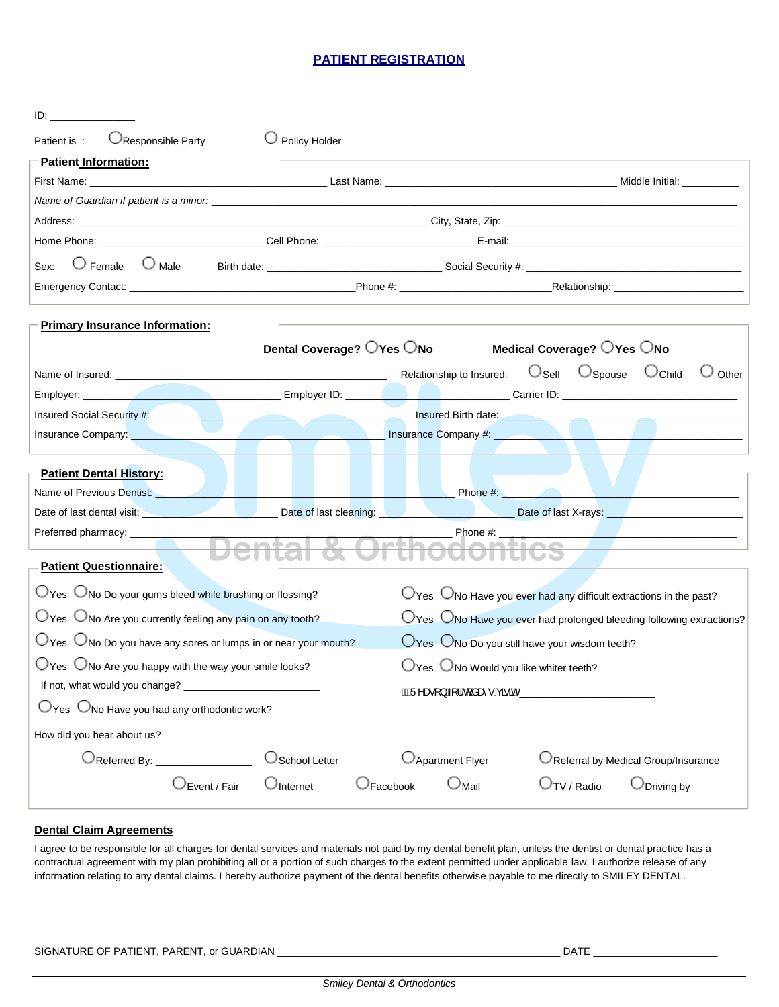#### **PATIENT REGISTRATION**

| ID: .                                                                              |                           |                 |                              |                                                                                     |                                                                                          |  |  |
|------------------------------------------------------------------------------------|---------------------------|-----------------|------------------------------|-------------------------------------------------------------------------------------|------------------------------------------------------------------------------------------|--|--|
| OResponsible Party<br>Patient is:                                                  | $\cup$ Policy Holder      |                 |                              |                                                                                     |                                                                                          |  |  |
| Patient Information:                                                               |                           |                 |                              |                                                                                     |                                                                                          |  |  |
|                                                                                    |                           |                 |                              |                                                                                     |                                                                                          |  |  |
|                                                                                    |                           |                 |                              |                                                                                     |                                                                                          |  |  |
|                                                                                    |                           |                 |                              |                                                                                     |                                                                                          |  |  |
|                                                                                    |                           |                 |                              |                                                                                     |                                                                                          |  |  |
| $\bigcirc$ Female<br>$\cup$ Male<br>Sex:                                           |                           |                 |                              |                                                                                     |                                                                                          |  |  |
|                                                                                    |                           |                 |                              |                                                                                     |                                                                                          |  |  |
| <b>Primary Insurance Information:</b>                                              |                           |                 |                              |                                                                                     |                                                                                          |  |  |
|                                                                                    | Dental Coverage? OYes ONo |                 |                              | Medical Coverage? OYes ONo                                                          |                                                                                          |  |  |
|                                                                                    |                           |                 | Relationship to Insured:     | $\bigcirc$ Spouse<br>$\bigcirc$ Self                                                | $\cup$ Child<br>Other                                                                    |  |  |
|                                                                                    |                           |                 |                              |                                                                                     |                                                                                          |  |  |
|                                                                                    |                           |                 |                              |                                                                                     |                                                                                          |  |  |
|                                                                                    |                           |                 |                              |                                                                                     |                                                                                          |  |  |
| <b>Patient Dental History:</b>                                                     |                           |                 |                              |                                                                                     |                                                                                          |  |  |
| Name of Previous Dentist: Name of Previous Dentist:                                |                           |                 |                              | <b>Example 2014</b> Phone #: <b>All 2014</b> Phone #:                               |                                                                                          |  |  |
| Date of last dental visit:<br>Date of last cleaning:<br>Date of last N-rays:       |                           |                 |                              |                                                                                     |                                                                                          |  |  |
| Preferred pharmacy: _____________                                                  |                           |                 |                              |                                                                                     |                                                                                          |  |  |
|                                                                                    |                           |                 |                              |                                                                                     |                                                                                          |  |  |
| <b>Patient Questionnaire:</b>                                                      |                           |                 |                              |                                                                                     |                                                                                          |  |  |
| $\bigcup$ Yes $\bigcup$ No Do your gums bleed while brushing or flossing?          |                           |                 |                              | $\bigcup$ Yes $\bigcup$ No Have you ever had any difficult extractions in the past? |                                                                                          |  |  |
| $\bigcup$ Yes $\bigcup$ No Are you currently feeling any pain on any tooth?        |                           |                 |                              |                                                                                     | $\bigcirc$ Yes $\bigcirc$ No Have you ever had prolonged bleeding following extractions? |  |  |
| $\bigcirc$ Yes $\bigcirc$ No Do you have any sores or lumps in or near your mouth? |                           |                 |                              | OYes ONo Do you still have your wisdom teeth?                                       |                                                                                          |  |  |
| $\bigcirc$ Yes $\bigcirc$ No Are you happy with the way your smile looks?          |                           |                 |                              | $\bigcirc$ Yes $\bigcirc$ No Would you like whiter teeth?                           |                                                                                          |  |  |
|                                                                                    |                           |                 | ÁKÁÜ^æ∘[}Á-[¦Áq[åæî∙ÁçããnK__ |                                                                                     |                                                                                          |  |  |
| $O$ Yes $O$ No Have you had any orthodontic work?                                  |                           |                 |                              |                                                                                     |                                                                                          |  |  |
| How did you hear about us?                                                         |                           |                 |                              |                                                                                     |                                                                                          |  |  |
| OReferred By: ________________                                                     | School Letter             |                 | O Apartment Flyer            |                                                                                     | O Referral by Medical Group/Insurance                                                    |  |  |
| Event / Fair                                                                       | $\cup$ Internet           | $\cup$ Facebook | $\cup_{\mathsf{Mail}}$       | $\cup_{\mathsf{TV}/\mathsf{Radio}}$                                                 | $\cup$ Driving by                                                                        |  |  |

#### **Dental Claim Agreements**

I agree to be responsible for all charges for dental services and materials not paid by my dental benefit plan, unless the dentist or dental practice has a contractual agreement with my plan prohibiting all or a portion of such charges to the extent permitted under applicable law, I authorize release of any information relating to any dental claims. I hereby authorize payment of the dental benefits otherwise payable to me directly to SMILEY DENTAL.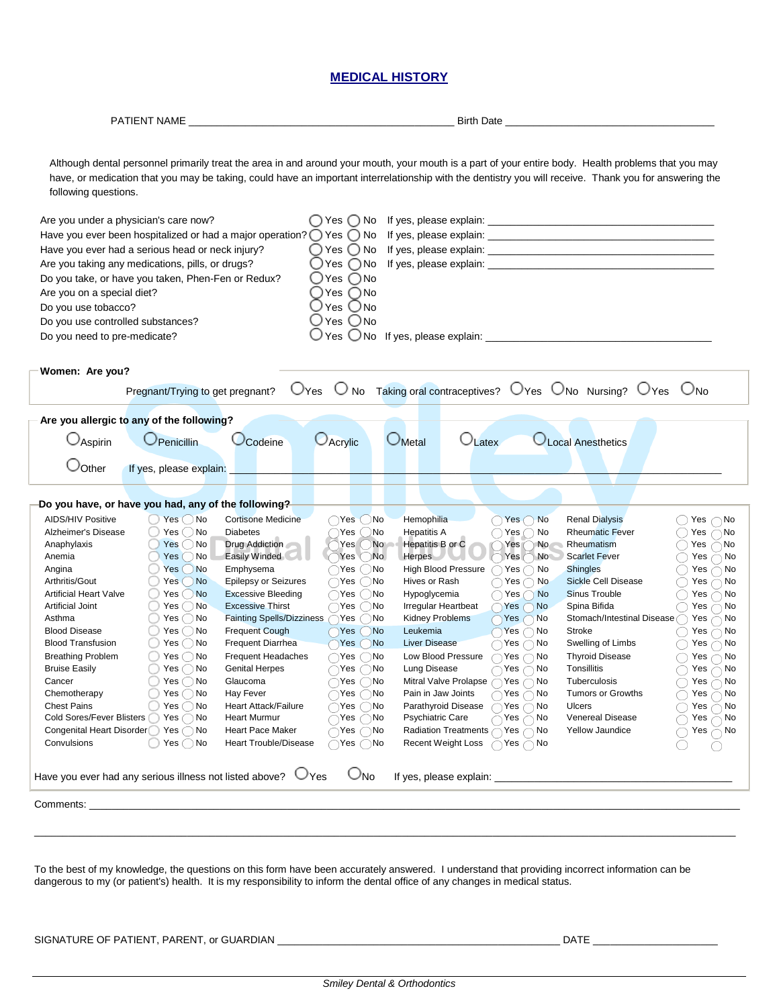| <b>MEDICAL HISTORY</b>                                                                                                                                          |                                                                                                                                                                                                                                                                                                                               |                                                                                                                                                                   |                                                                                                                               |                                                                                                                                                                                                                                                                                                                                         |                                                                                                                                                                                                                              |  |  |  |
|-----------------------------------------------------------------------------------------------------------------------------------------------------------------|-------------------------------------------------------------------------------------------------------------------------------------------------------------------------------------------------------------------------------------------------------------------------------------------------------------------------------|-------------------------------------------------------------------------------------------------------------------------------------------------------------------|-------------------------------------------------------------------------------------------------------------------------------|-----------------------------------------------------------------------------------------------------------------------------------------------------------------------------------------------------------------------------------------------------------------------------------------------------------------------------------------|------------------------------------------------------------------------------------------------------------------------------------------------------------------------------------------------------------------------------|--|--|--|
|                                                                                                                                                                 |                                                                                                                                                                                                                                                                                                                               |                                                                                                                                                                   |                                                                                                                               |                                                                                                                                                                                                                                                                                                                                         |                                                                                                                                                                                                                              |  |  |  |
| following questions.                                                                                                                                            |                                                                                                                                                                                                                                                                                                                               |                                                                                                                                                                   |                                                                                                                               | Although dental personnel primarily treat the area in and around your mouth, your mouth is a part of your entire body. Health problems that you may<br>have, or medication that you may be taking, could have an important interrelationship with the dentistry you will receive. Thank you for answering the                           |                                                                                                                                                                                                                              |  |  |  |
| Are you under a physician's care now?<br>Are you on a special diet?<br>Do you use tobacco?<br>Do you use controlled substances?<br>Do you need to pre-medicate? | Have you ever been hospitalized or had a major operation? $\bigcirc$ Yes $\bigcirc$ No<br>Have you ever had a serious head or neck injury?<br>Are you taking any medications, pills, or drugs?<br>Do you take, or have you taken, Phen-Fen or Redux?                                                                          | $\bigcirc$ Yes $\bigcirc$ No<br>$\bigcirc$ Yes $\bigcirc$ No<br>$OYes$ $O$ No<br>$\bigcirc$ Yes $\bigcirc$ No<br>Yes ◯ No<br>Yes $\bigcirc$ No<br>∪Yes ○No<br>Yes |                                                                                                                               | If yes, please explain: Note and the set of the set of the set of the set of the set of the set of the set of the set of the set of the set of the set of the set of the set of the set of the set of the set of the set of th                                                                                                          |                                                                                                                                                                                                                              |  |  |  |
| Women: Are you?                                                                                                                                                 | Pregnant/Trying to get pregnant?                                                                                                                                                                                                                                                                                              | O <sub>Yes</sub>                                                                                                                                                  |                                                                                                                               | $\overline{O}$ No Taking oral contraceptives? $O$ Yes $\overline{O}$ No Nursing? $O$ Yes                                                                                                                                                                                                                                                | $\cup_{\mathsf{No}}$                                                                                                                                                                                                         |  |  |  |
|                                                                                                                                                                 | Are you allergic to any of the following?                                                                                                                                                                                                                                                                                     |                                                                                                                                                                   |                                                                                                                               |                                                                                                                                                                                                                                                                                                                                         |                                                                                                                                                                                                                              |  |  |  |
| $\cup$ Aspirin<br>$\cup$ Other                                                                                                                                  | Penicillin<br>Codeine<br>If yes, please explain:                                                                                                                                                                                                                                                                              | <b>O</b> Acrylic                                                                                                                                                  | <b>OMetal</b><br>$\cup$ Latex                                                                                                 | Local Anesthetics                                                                                                                                                                                                                                                                                                                       |                                                                                                                                                                                                                              |  |  |  |
| <b>AIDS/HIV Positive</b><br>Alzheimer's Disease<br>Anaphylaxis<br>Anemia<br>Angina<br>Arthritis/Gout<br><b>Artificial Heart Valve</b>                           | Do you have, or have you had, any of the following?<br>$Yes$ $No$<br><b>Cortisone Medicine</b><br>Yes $\bigcirc$ No<br><b>Diabetes</b><br>$Yes$ $No$<br><b>Drug Addiction</b><br><b>Easily Winded</b><br>$Yes$ $No$<br>Yes()No<br>Emphysema<br>Yes()No<br><b>Epilepsy or Seizures</b><br>Yes()No<br><b>Excessive Bleeding</b> | $\bigcirc$ Yes<br>$( )$ No<br>Yes<br>No<br>€<br>Yes<br><b>No</b><br>Yes No<br>$\bigcirc$ Yes $\bigcirc$ No<br>$\bigcirc$ Yes $\bigcirc$ No<br>)Yes ( )No          | Hemophilia<br><b>Hepatitis A</b><br>Hepatitis B or C<br>Herpes<br><b>High Blood Pressure</b><br>Hives or Rash<br>Hypoglycemia | $\bigcap$ Yes $\bigcap$ No<br><b>Renal Dialysis</b><br><b>Rheumatic Fever</b><br>$\bigcap$ Yes $\bigcap$ No<br>Yes(<br>$\big)$ No<br>Rheumatism<br>$Yes \cap No$<br><b>Scarlet Fever</b><br>$\bigcap$ Yes $\bigcap$ No<br><b>Shingles</b><br><b>Sickle Cell Disease</b><br>$\bigcap$ Yes $\bigcap$ No<br>Yes No<br><b>Sinus Trouble</b> | $\bigcirc$ Yes $\bigcirc$ No<br>$\bigcirc$ Yes $\bigcirc$ No<br>$\bigcirc$ Yes $\bigcirc$ No<br>$\supset$ Yes $\bigcap$ No<br>$\bigcirc$ Yes $\bar{\bigcirc}$ No<br>$\supset$ Yes $\bigcap$ No<br>$\bigcap$ Yes $\bigcap$ No |  |  |  |

| <b>AIDS/HIV Positive</b>                                                                                                                                                                                                                                                                                              | $\overline{)}$ No<br>Yes( | <b>Cortisone Medicine</b>        | ∩Yes ( )No                   | Hemophilia                                       | Yes $\bigcap$ No             | <b>Renal Dialysis</b>      | Yes $\bigcap$ No |
|-----------------------------------------------------------------------------------------------------------------------------------------------------------------------------------------------------------------------------------------------------------------------------------------------------------------------|---------------------------|----------------------------------|------------------------------|--------------------------------------------------|------------------------------|----------------------------|------------------|
| Alzheimer's Disease                                                                                                                                                                                                                                                                                                   | $Yes \bigcirc$ No         | <b>Diabetes</b>                  | ∋No<br>Yes (                 | <b>Hepatitis A</b>                               | $Yes \cap No$                | <b>Rheumatic Fever</b>     | Yes $\bigcap$ No |
| Anaphylaxis                                                                                                                                                                                                                                                                                                           | Yes()No                   | Drug Addiction                   | N <sub>o</sub><br>Yes (      | Hepatitis B or C                                 | No<br>Yes (                  | Rheumatism                 | Yes $\bigcap$ No |
| Anemia                                                                                                                                                                                                                                                                                                                | Yes()No                   | Easily Winded                    | Yes()No.                     | <b>Herpes</b>                                    | No.<br>Yes (                 | <b>Scarlet Fever</b>       | Yes $\bigcap$ No |
| Angina                                                                                                                                                                                                                                                                                                                | Yes()No                   | Emphysema                        | ⊃Yes ⊖No                     | <b>High Blood Pressure</b>                       | Yes $\bigcap$ No             | <b>Shingles</b>            | Yes $\bigcap$ No |
| Arthritis/Gout                                                                                                                                                                                                                                                                                                        | Yes()No                   | <b>Epilepsy or Seizures</b>      | $\bigcap$ Yes $(\ )$ No      | Hives or Rash                                    | $\bigcirc$ Yes $\bigcirc$ No | <b>Sickle Cell Disease</b> | Yes $\bigcap$ No |
| <b>Artificial Heart Valve</b>                                                                                                                                                                                                                                                                                         | Yes()No                   | <b>Excessive Bleeding</b>        | ∩Yes ( )No                   | Hypoglycemia                                     | $\bigcap$ Yes $\bigcap$ No   | Sinus Trouble              | Yes $\bigcap$ No |
| <b>Artificial Joint</b>                                                                                                                                                                                                                                                                                               | Yes()No                   | <b>Excessive Thirst</b>          | ∩Yes ( )No                   | Irregular Heartbeat                              | $\bigcap$ Yes $\bigcap$ No   | Spina Bifida               | Yes $\bigcap$ No |
| Asthma                                                                                                                                                                                                                                                                                                                | $Yes \bigcirc$ No         | <b>Fainting Spells/Dizziness</b> |                              | <b>Kidney Problems</b>                           | $\bigcap$ Yes $\bigcap$ No   | Stomach/Intestinal Disease | Yes $\bigcap$ No |
| <b>Blood Disease</b>                                                                                                                                                                                                                                                                                                  | $Yes$ $No$                | <b>Frequent Cough</b>            | Yes No                       | Leukemia                                         | $Yes \cap No$                | Stroke                     | Yes $\bigcap$ No |
| <b>Blood Transfusion</b>                                                                                                                                                                                                                                                                                              | $Yes$ $No$                | <b>Frequent Diarrhea</b>         | $Yes$ $No$                   | <b>Liver Disease</b>                             | $\bigcirc$ Yes $\bigcirc$ No | Swelling of Limbs          | Yes $\bigcap$ No |
| <b>Breathing Problem</b>                                                                                                                                                                                                                                                                                              | $Yes \cap No$             | Frequent Headaches               | ∩Yes ∩No                     | Low Blood Pressure                               | $\bigcap$ Yes $\bigcap$ No   | <b>Thyroid Disease</b>     | Yes $\bigcap$ No |
| <b>Bruise Easily</b>                                                                                                                                                                                                                                                                                                  | $Yes \cap No$             | <b>Genital Herpes</b>            |                              | Lung Disease                                     | $\bigcirc$ Yes $\bigcirc$ No | Tonsillitis                | Yes $\bigcap$ No |
| Cancer                                                                                                                                                                                                                                                                                                                | $Yes \cap No$             | Glaucoma                         | ∩Yes ( )No                   | Mitral Valve Prolapse $\bigcap$ Yes $\bigcap$ No |                              | Tuberculosis               | Yes $\bigcap$ No |
| Chemotherapy                                                                                                                                                                                                                                                                                                          | $Yes \bigcap No$          | Hay Fever                        |                              | Pain in Jaw Joints                               | $\bigcap$ Yes $\bigcap$ No   | <b>Tumors or Growths</b>   | Yes $\bigcap$ No |
| <b>Chest Pains</b>                                                                                                                                                                                                                                                                                                    | $Yes$ $No$                | <b>Heart Attack/Failure</b>      | $\bigcirc$ Yes $\bigcirc$ No | Parathyroid Disease                              | $\bigcap$ Yes $\bigcap$ No   | <b>Ulcers</b>              | Yes $\bigcap$ No |
| Cold Sores/Fever Blisters                                                                                                                                                                                                                                                                                             | Yes $\bigcap$ No          | <b>Heart Murmur</b>              | ∩Yes ∩No                     | Psychiatric Care                                 | Yes $\bigcap$ No             | <b>Venereal Disease</b>    | Yes $\bigcap$ No |
| Congenital Heart Disorder                                                                                                                                                                                                                                                                                             | Yes $\bigcap$ No          | Heart Pace Maker                 | $\supset$ Yes $\bigcirc$ No  | Radiation Treatments $\bigcap$ Yes $\bigcap$ No  |                              | <b>Yellow Jaundice</b>     | Yes $\bigcap$ No |
| Convulsions                                                                                                                                                                                                                                                                                                           | Yes $\bigcap$ No          | <b>Heart Trouble/Disease</b>     | ∩Yes ⊖No                     | <b>Recent Weight Loss</b>                        | $\bigcap$ Yes $\bigcap$ No   |                            |                  |
| Have you ever had any serious illness not listed above? $\cup$<br>⊿No<br>If yes, please explain: <u>contract and the set of the set of the set of the set of the set of the set of the set of the set of the set of the set of the set of the set of the set of the set of the set of the set of the set </u><br>'Yes |                           |                                  |                              |                                                  |                              |                            |                  |
| Comments:                                                                                                                                                                                                                                                                                                             |                           |                                  |                              |                                                  |                              |                            |                  |
|                                                                                                                                                                                                                                                                                                                       |                           |                                  |                              |                                                  |                              |                            |                  |
|                                                                                                                                                                                                                                                                                                                       |                           |                                  |                              |                                                  |                              |                            |                  |

To the best of my knowledge, the questions on this form have been accurately answered. I understand that providing incorrect information can be dangerous to my (or patient's) health. It is my responsibility to inform the dental office of any changes in medical status.

SIGNATURE OF PATIENT, PARENT, or GUARDIAN \_\_\_\_\_\_\_\_\_\_\_\_\_\_\_\_\_\_\_\_\_\_\_\_\_\_\_\_\_\_\_\_\_\_\_\_\_\_\_\_\_\_\_\_\_\_\_\_\_\_ DATE \_\_\_\_\_\_\_\_\_\_\_\_\_\_\_\_\_\_\_\_\_\_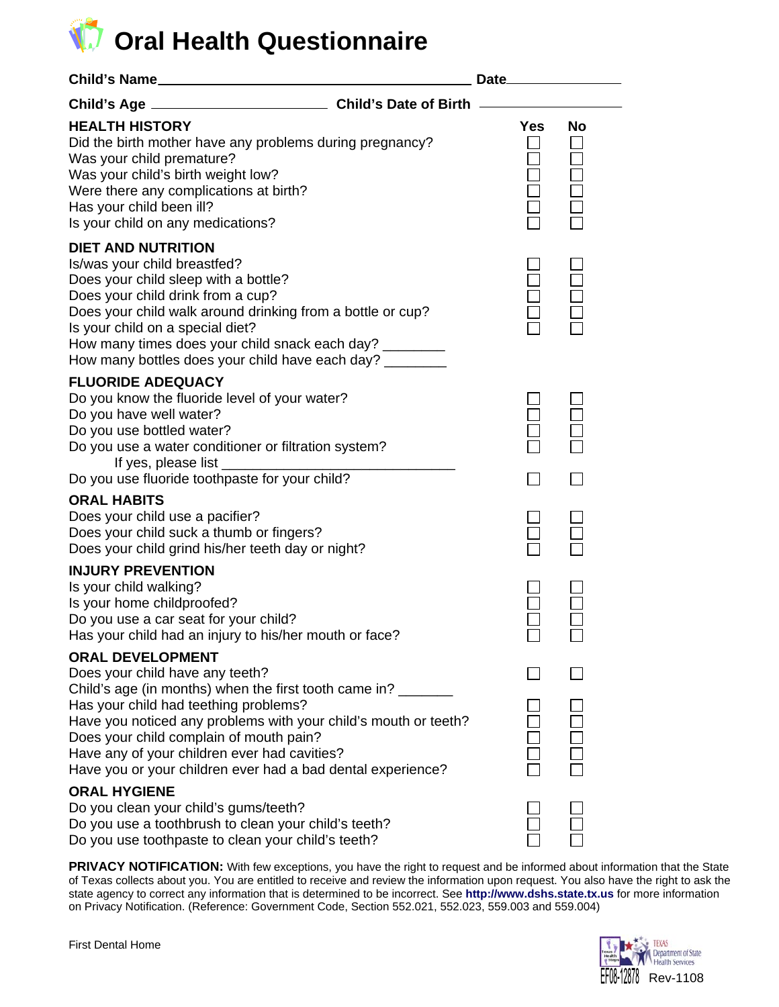# **D** Oral Health Questionnaire

| Child's Name                                                                                                                                                                                                                                                                                                                                                                              |  |            |    |
|-------------------------------------------------------------------------------------------------------------------------------------------------------------------------------------------------------------------------------------------------------------------------------------------------------------------------------------------------------------------------------------------|--|------------|----|
|                                                                                                                                                                                                                                                                                                                                                                                           |  |            |    |
| <b>HEALTH HISTORY</b><br>Did the birth mother have any problems during pregnancy?<br>Was your child premature?<br>Was your child's birth weight low?<br>Were there any complications at birth?<br>Has your child been ill?<br>Is your child on any medications?                                                                                                                           |  | <b>Yes</b> | No |
| <b>DIET AND NUTRITION</b><br>Is/was your child breastfed?<br>Does your child sleep with a bottle?<br>Does your child drink from a cup?<br>Does your child walk around drinking from a bottle or cup?<br>Is your child on a special diet?<br>How many times does your child snack each day? ________<br>How many bottles does your child have each day? _________                          |  |            |    |
| <b>FLUORIDE ADEQUACY</b><br>Do you know the fluoride level of your water?<br>Do you have well water?<br>Do you use bottled water?<br>Do you use a water conditioner or filtration system?                                                                                                                                                                                                 |  |            |    |
| Do you use fluoride toothpaste for your child?                                                                                                                                                                                                                                                                                                                                            |  |            |    |
| <b>ORAL HABITS</b><br>Does your child use a pacifier?<br>Does your child suck a thumb or fingers?<br>Does your child grind his/her teeth day or night?                                                                                                                                                                                                                                    |  |            |    |
| <b>INJURY PREVENTION</b><br>Is your child walking?<br>Is your home childproofed?<br>Do you use a car seat for your child?<br>Has your child had an injury to his/her mouth or face?                                                                                                                                                                                                       |  |            |    |
| <b>ORAL DEVELOPMENT</b><br>Does your child have any teeth?<br>Child's age (in months) when the first tooth came in?<br>Has your child had teething problems?<br>Have you noticed any problems with your child's mouth or teeth?<br>Does your child complain of mouth pain?<br>Have any of your children ever had cavities?<br>Have you or your children ever had a bad dental experience? |  |            |    |
| <b>ORAL HYGIENE</b><br>Do you clean your child's gums/teeth?<br>Do you use a toothbrush to clean your child's teeth?<br>Do you use toothpaste to clean your child's teeth?                                                                                                                                                                                                                |  |            |    |

PRIVACY NOTIFICATION: With few exceptions, you have the right to request and be informed about information that the State of Texas collects about you. You are entitled to receive and review the information upon request. You also have the right to ask the state agency to correct any information that is determined to be incorrect. See **[http://www.dshs.state.tx.us](http://www.dshs.state.tx.us/)** for more information on Privacy Notification. (Reference: Government Code, Section 552.021, 552.023, 559.003 and 559.004)

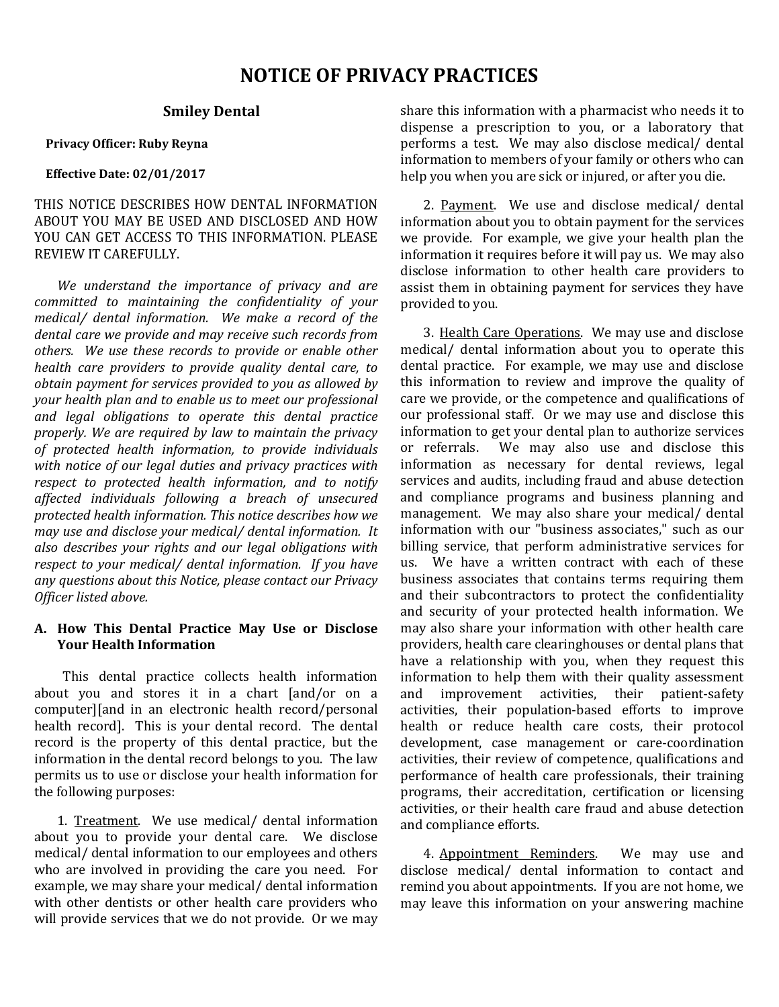## **NOTICE OF PRIVACY PRACTICES**

#### **Smiley Dental**

#### **Privacy Officer: Ruby Reyna**

#### **Effective Date: 02/01/2017**

THIS NOTICE DESCRIBES HOW DENTAL INFORMATION ABOUT YOU MAY BE USED AND DISCLOSED AND HOW YOU CAN GET ACCESS TO THIS INFORMATION. PLEASE REVIEW IT CAREFULLY.

*We understand the importance of privacy and are committed to maintaining the confidentiality of your medical/ dental information. We make a record of the dental care we provide and may receive such records from others. We use these records to provide or enable other health care providers to provide quality dental care, to obtain payment for services provided to you as allowed by your health plan and to enable us to meet our professional and legal obligations to operate this dental practice properly. We are required by law to maintain the privacy of protected health information, to provide individuals with notice of our legal duties and privacy practices with respect to protected health information, and to notify affected individuals following a breach of unsecured protected health information. This notice describes how we may use and disclose your medical/ dental information. It also describes your rights and our legal obligations with respect to your medical/ dental information. If you have any questions about this Notice, please contact our Privacy Officer listed above.*

#### **A. How This Dental Practice May Use or Disclose Your Health Information**

This dental practice collects health information about you and stores it in a chart [and/or on a computer][and in an electronic health record/personal health record]. This is your dental record. The dental record is the property of this dental practice, but the information in the dental record belongs to you. The law permits us to use or disclose your health information for the following purposes:

1. Treatment. We use medical/ dental information about you to provide your dental care. We disclose medical/ dental information to our employees and others who are involved in providing the care you need. For example, we may share your medical/ dental information with other dentists or other health care providers who will provide services that we do not provide. Or we may

share this information with a pharmacist who needs it to dispense a prescription to you, or a laboratory that performs a test. We may also disclose medical/ dental information to members of your family or others who can help you when you are sick or injured, or after you die.

2. Payment. We use and disclose medical/ dental information about you to obtain payment for the services we provide. For example, we give your health plan the information it requires before it will pay us. We may also disclose information to other health care providers to assist them in obtaining payment for services they have provided to you.

3. Health Care Operations. We may use and disclose medical/ dental information about you to operate this dental practice. For example, we may use and disclose this information to review and improve the quality of care we provide, or the competence and qualifications of our professional staff. Or we may use and disclose this information to get your dental plan to authorize services We may also use and disclose this information as necessary for dental reviews, legal services and audits, including fraud and abuse detection and compliance programs and business planning and management. We may also share your medical/ dental information with our "business associates," such as our billing service, that perform administrative services for<br>us. We have a written contract with each of these We have a written contract with each of these business associates that contains terms requiring them and their subcontractors to protect the confidentiality and security of your protected health information. We may also share your information with other health care providers, health care clearinghouses or dental plans that have a relationship with you, when they request this information to help them with their quality assessment<br>and improvement activities, their patient-safety improvement activities, their patient-safety activities, their population-based efforts to improve health or reduce health care costs, their protocol development, case management or care-coordination activities, their review of competence, qualifications and performance of health care professionals, their training programs, their accreditation, certification or licensing activities, or their health care fraud and abuse detection and compliance efforts.

4. Appointment Reminders. We may use and disclose medical/ dental information to contact and remind you about appointments. If you are not home, we may leave this information on your answering machine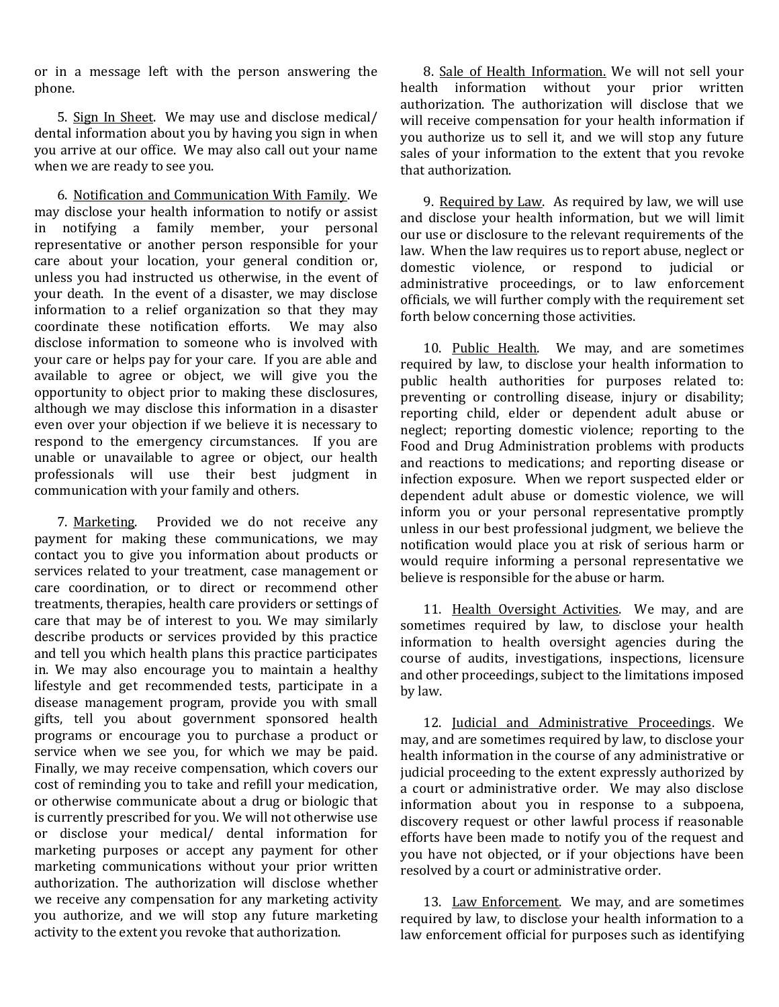or in a message left with the person answering the phone.

5. Sign In Sheet. We may use and disclose medical/ dental information about you by having you sign in when you arrive at our office. We may also call out your name when we are ready to see you.

6. Notification and Communication With Family. We may disclose your health information to notify or assist in notifying a family member, your personal representative or another person responsible for your care about your location, your general condition or, unless you had instructed us otherwise, in the event of your death. In the event of a disaster, we may disclose information to a relief organization so that they may coordinate these notification efforts. We may also coordinate these notification efforts. disclose information to someone who is involved with your care or helps pay for your care. If you are able and available to agree or object, we will give you the opportunity to object prior to making these disclosures, although we may disclose this information in a disaster even over your objection if we believe it is necessary to respond to the emergency circumstances. If you are unable or unavailable to agree or object, our health professionals will use their best judgment in communication with your family and others.

7. Marketing. Provided we do not receive any payment for making these communications, we may contact you to give you information about products or services related to your treatment, case management or care coordination, or to direct or recommend other treatments, therapies, health care providers or settings of care that may be of interest to you. We may similarly describe products or services provided by this practice and tell you which health plans this practice participates in. We may also encourage you to maintain a healthy lifestyle and get recommended tests, participate in a disease management program, provide you with small gifts, tell you about government sponsored health programs or encourage you to purchase a product or service when we see you, for which we may be paid. Finally, we may receive compensation, which covers our cost of reminding you to take and refill your medication, or otherwise communicate about a drug or biologic that is currently prescribed for you. We will not otherwise use or disclose your medical/ dental information for marketing purposes or accept any payment for other marketing communications without your prior written authorization. The authorization will disclose whether we receive any compensation for any marketing activity you authorize, and we will stop any future marketing activity to the extent you revoke that authorization.

8. Sale of Health Information. We will not sell your health information without your prior written authorization. The authorization will disclose that we will receive compensation for your health information if you authorize us to sell it, and we will stop any future sales of your information to the extent that you revoke that authorization.

9. Required by Law. As required by law, we will use and disclose your health information, but we will limit our use or disclosure to the relevant requirements of the law. When the law requires us to report abuse, neglect or domestic violence. or respond to judicial or domestic violence, or respond to judicial administrative proceedings, or to law enforcement officials, we will further comply with the requirement set forth below concerning those activities.

10. Public Health. We may, and are sometimes required by law, to disclose your health information to public health authorities for purposes related to: preventing or controlling disease, injury or disability; reporting child, elder or dependent adult abuse or neglect; reporting domestic violence; reporting to the Food and Drug Administration problems with products and reactions to medications; and reporting disease or infection exposure. When we report suspected elder or dependent adult abuse or domestic violence, we will inform you or your personal representative promptly unless in our best professional judgment, we believe the notification would place you at risk of serious harm or would require informing a personal representative we believe is responsible for the abuse or harm.

11. Health Oversight Activities. We may, and are sometimes required by law, to disclose your health information to health oversight agencies during the course of audits, investigations, inspections, licensure and other proceedings, subject to the limitations imposed by law.

12. Judicial and Administrative Proceedings. We may, and are sometimes required by law, to disclose your health information in the course of any administrative or judicial proceeding to the extent expressly authorized by a court or administrative order. We may also disclose information about you in response to a subpoena, discovery request or other lawful process if reasonable efforts have been made to notify you of the request and you have not objected, or if your objections have been resolved by a court or administrative order.

13. Law Enforcement. We may, and are sometimes required by law, to disclose your health information to a law enforcement official for purposes such as identifying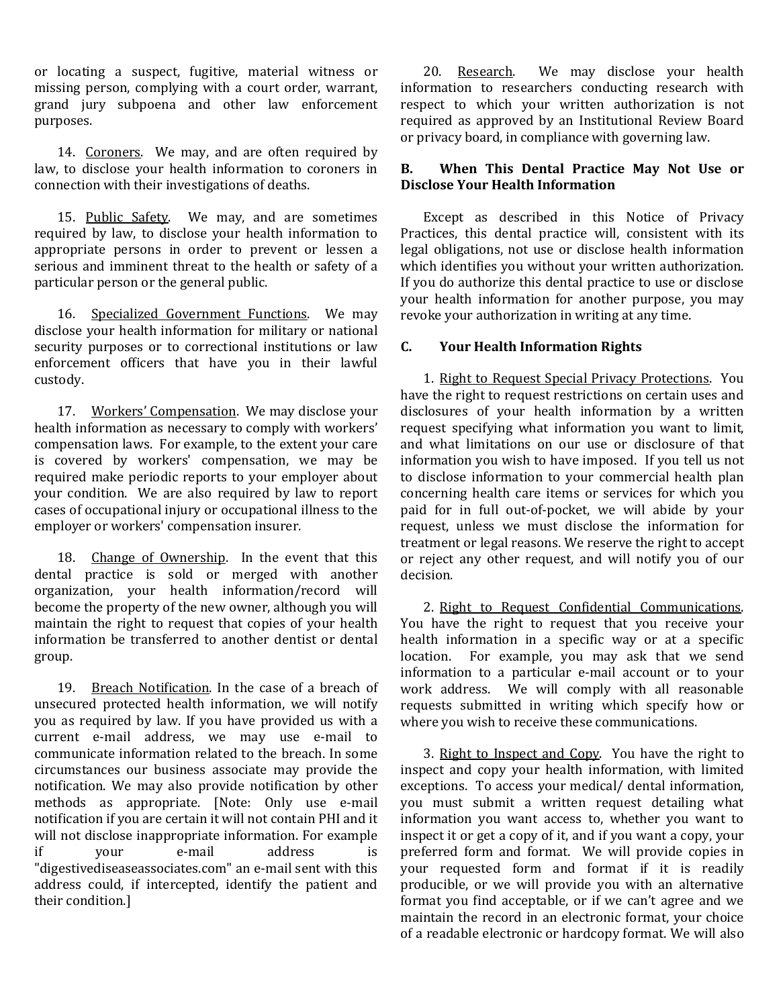or locating a suspect, fugitive, material witness or missing person, complying with a court order, warrant, grand jury subpoena and other law enforcement purposes.

14. Coroners. We may, and are often required by law, to disclose your health information to coroners in connection with their investigations of deaths.

15. Public Safety. We may, and are sometimes required by law, to disclose your health information to appropriate persons in order to prevent or lessen a serious and imminent threat to the health or safety of a particular person or the general public.

16. Specialized Government Functions. We may disclose your health information for military or national security purposes or to correctional institutions or law enforcement officers that have you in their lawful custody.

17. Workers' Compensation. We may disclose your health information as necessary to comply with workers' compensation laws. For example, to the extent your care is covered by workers' compensation, we may be required make periodic reports to your employer about your condition. We are also required by law to report cases of occupational injury or occupational illness to the employer or workers' compensation insurer.

18. Change of Ownership. In the event that this dental practice is sold or merged with another organization, your health information/record will become the property of the new owner, although you will maintain the right to request that copies of your health information be transferred to another dentist or dental group.

19. Breach Notification. In the case of a breach of unsecured protected health information, we will notify you as required by law. If you have provided us with a current e-mail address, we may use e-mail to communicate information related to the breach. In some circumstances our business associate may provide the notification. We may also provide notification by other methods as appropriate. [Note: Only use e-mail notification if you are certain it will not contain PHI and it will not disclose inappropriate information. For example<br>if vour e-mail address is if your e-mail address is "digestivediseaseassociates.com" an e-mail sent with this address could, if intercepted, identify the patient and their condition.]

20. Research. We may disclose your health information to researchers conducting research with respect to which your written authorization is not required as approved by an Institutional Review Board or privacy board, in compliance with governing law.

## **B. When This Dental Practice May Not Use or Disclose Your Health Information**

Except as described in this Notice of Privacy Practices, this dental practice will, consistent with its legal obligations, not use or disclose health information which identifies you without your written authorization. If you do authorize this dental practice to use or disclose your health information for another purpose, you may revoke your authorization in writing at any time.

## **C. Your Health Information Rights**

1. Right to Request Special Privacy Protections. You have the right to request restrictions on certain uses and disclosures of your health information by a written request specifying what information you want to limit, and what limitations on our use or disclosure of that information you wish to have imposed. If you tell us not to disclose information to your commercial health plan concerning health care items or services for which you paid for in full out-of-pocket, we will abide by your request, unless we must disclose the information for treatment or legal reasons. We reserve the right to accept or reject any other request, and will notify you of our decision.

2. Right to Request Confidential Communications. You have the right to request that you receive your health information in a specific way or at a specific location. For example, you may ask that we send information to a particular e-mail account or to your work address. We will comply with all reasonable requests submitted in writing which specify how or where you wish to receive these communications.

3. Right to Inspect and Copy. You have the right to inspect and copy your health information, with limited exceptions. To access your medical/ dental information, you must submit a written request detailing what information you want access to, whether you want to inspect it or get a copy of it, and if you want a copy, your preferred form and format. We will provide copies in your requested form and format if it is readily producible, or we will provide you with an alternative format you find acceptable, or if we can't agree and we maintain the record in an electronic format, your choice of a readable electronic or hardcopy format. We will also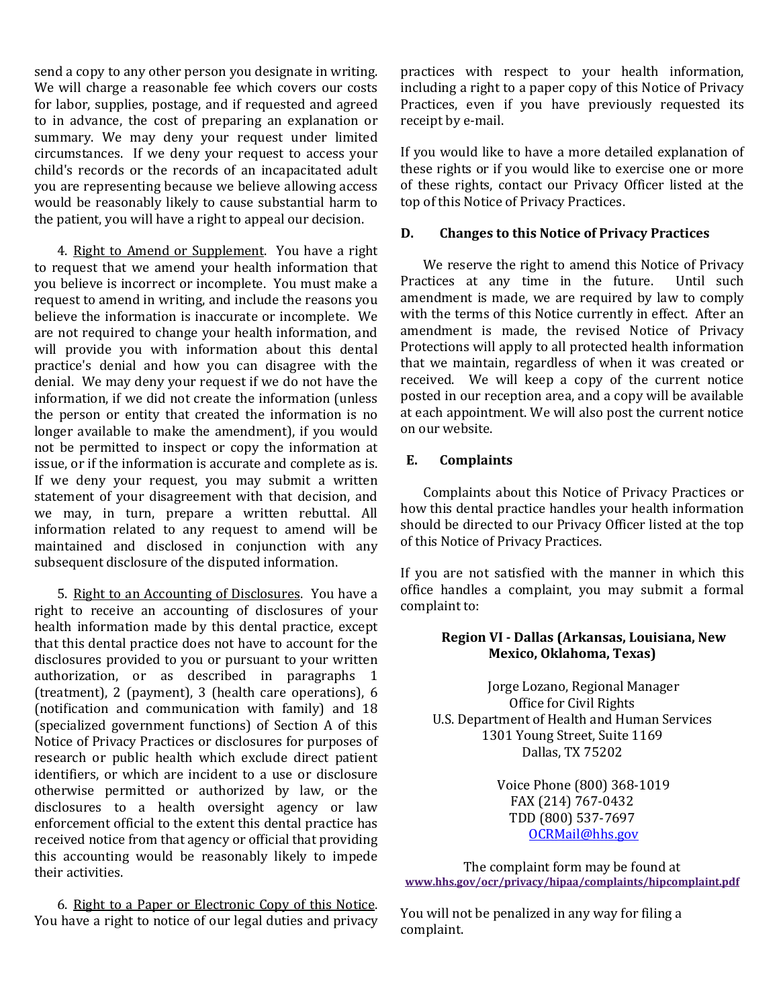send a copy to any other person you designate in writing. We will charge a reasonable fee which covers our costs for labor, supplies, postage, and if requested and agreed to in advance, the cost of preparing an explanation or summary. We may deny your request under limited circumstances. If we deny your request to access your child's records or the records of an incapacitated adult you are representing because we believe allowing access would be reasonably likely to cause substantial harm to the patient, you will have a right to appeal our decision.

4. Right to Amend or Supplement. You have a right to request that we amend your health information that you believe is incorrect or incomplete. You must make a request to amend in writing, and include the reasons you believe the information is inaccurate or incomplete. We are not required to change your health information, and will provide you with information about this dental practice's denial and how you can disagree with the denial. We may deny your request if we do not have the information, if we did not create the information (unless the person or entity that created the information is no longer available to make the amendment), if you would not be permitted to inspect or copy the information at issue, or if the information is accurate and complete as is. If we deny your request, you may submit a written statement of your disagreement with that decision, and we may, in turn, prepare a written rebuttal. All information related to any request to amend will be maintained and disclosed in conjunction with any subsequent disclosure of the disputed information.

5. Right to an Accounting of Disclosures. You have a right to receive an accounting of disclosures of your health information made by this dental practice, except that this dental practice does not have to account for the disclosures provided to you or pursuant to your written authorization, or as described in paragraphs 1 (treatment), 2 (payment), 3 (health care operations), 6 (notification and communication with family) and 18 (specialized government functions) of Section A of this Notice of Privacy Practices or disclosures for purposes of research or public health which exclude direct patient identifiers, or which are incident to a use or disclosure otherwise permitted or authorized by law, or the disclosures to a health oversight agency or law enforcement official to the extent this dental practice has received notice from that agency or official that providing this accounting would be reasonably likely to impede their activities.

6. Right to a Paper or Electronic Copy of this Notice. You have a right to notice of our legal duties and privacy practices with respect to your health information, including a right to a paper copy of this Notice of Privacy Practices, even if you have previously requested its receipt by e-mail.

If you would like to have a more detailed explanation of these rights or if you would like to exercise one or more of these rights, contact our Privacy Officer listed at the top of this Notice of Privacy Practices.

#### **D. Changes to this Notice of Privacy Practices**

We reserve the right to amend this Notice of Privacy<br>ctices at any time in the future. Until such Practices at any time in the future. amendment is made, we are required by law to comply with the terms of this Notice currently in effect. After an amendment is made, the revised Notice of Privacy Protections will apply to all protected health information that we maintain, regardless of when it was created or received. We will keep a copy of the current notice posted in our reception area, and a copy will be available at each appointment. We will also post the current notice on our website.

#### **E. Complaints**

Complaints about this Notice of Privacy Practices or how this dental practice handles your health information should be directed to our Privacy Officer listed at the top of this Notice of Privacy Practices.

If you are not satisfied with the manner in which this office handles a complaint, you may submit a formal complaint to:

## **Region VI - Dallas (Arkansas, Louisiana, New Mexico, Oklahoma, Texas)**

Jorge Lozano, Regional Manager Office for Civil Rights U.S. Department of Health and Human Services 1301 Young Street, Suite 1169 Dallas, TX 75202

> Voice Phone (800) 368-1019 FAX (214) 767-0432 TDD (800) 537-7697 [OCRMail@hhs.gov](mailto:OCRMail@hhs.gov)

The complaint form may be found at **www.hhs.gov/ocr/privacy/hipaa/complaints/hipcomplaint.pdf**

You will not be penalized in any way for filing a complaint.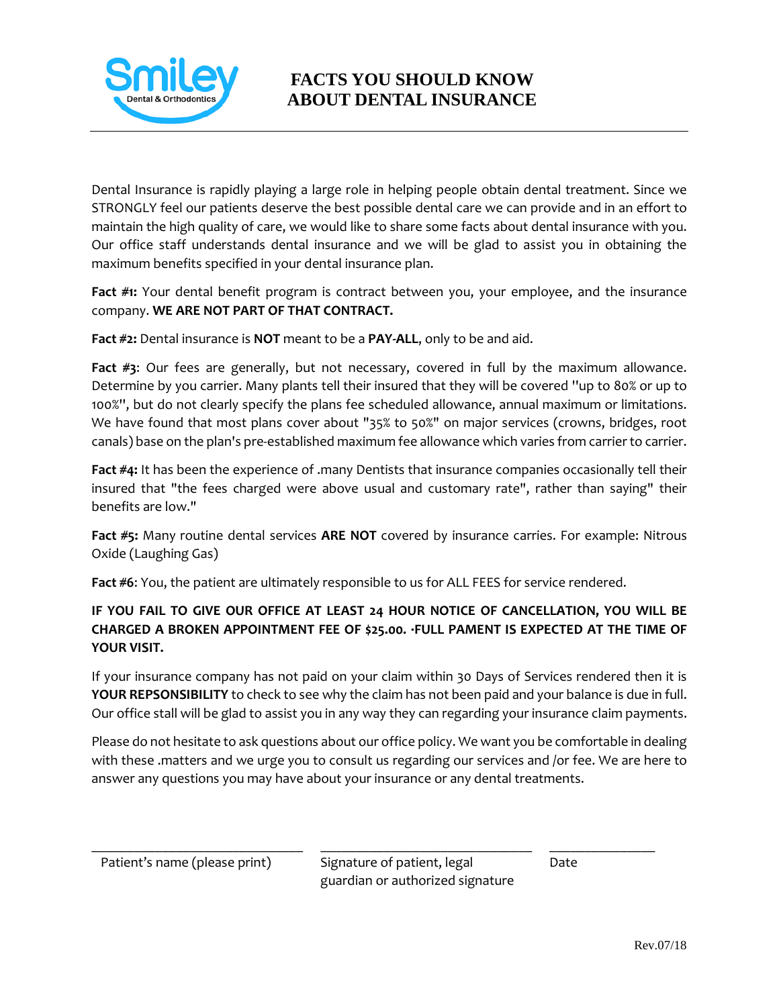

# **FACTS YOU SHOULD KNOW ABOUT DENTAL INSURANCE**

Dental Insurance is rapidly playing a large role in helping people obtain dental treatment. Since we STRONGLY feel our patients deserve the best possible dental care we can provide and in an effort to maintain the high quality of care, we would like to share some facts about dental insurance with you. Our office staff understands dental insurance and we will be glad to assist you in obtaining the maximum benefits specified in your dental insurance plan.

**Fact #1:** Your dental benefit program is contract between you, your employee, and the insurance company. **WE ARE NOT PART OF THAT CONTRACT.**

**Fact #2:** Dental insurance is **NOT** meant to be a **PAY-ALL**, only to be and aid.

**Fact #3**: Our fees are generally, but not necessary, covered in full by the maximum allowance. Determine by you carrier. Many plants tell their insured that they will be covered ''up to 80% or up to 100%'', but do not clearly specify the plans fee scheduled allowance, annual maximum or limitations. We have found that most plans cover about "35% to 50%" on major services (crowns, bridges, root canals) base on the plan's pre-established maximum fee allowance which varies from carrier to carrier.

**Fact #4:** It has been the experience of .many Dentists that insurance companies occasionally tell their insured that "the fees charged were above usual and customary rate", rather than saying" their benefits are low."

**Fact #5:** Many routine dental services **ARE NOT** covered by insurance carries. For example: Nitrous Oxide (Laughing Gas)

**Fact #6**: You, the patient are ultimately responsible to us for ALL FEES for service rendered.

## **IF YOU FAIL TO GIVE OUR OFFICE AT LEAST 24 HOUR NOTICE OF CANCELLATION, YOU WILL BE CHARGED A BROKEN APPOINTMENT FEE OF \$25.00. ·FULL PAMENT IS EXPECTED AT THE TIME OF YOUR VISIT.**

If your insurance company has not paid on your claim within 30 Days of Services rendered then it is **YOUR REPSONSIBILITY** to check to see why the claim has not been paid and your balance is due in full. Our office stall will be glad to assist you in any way they can regarding your insurance claim payments.

Please do not hesitate to ask questions about our office policy. We want you be comfortable in dealing with these .matters and we urge you to consult us regarding our services and /or fee. We are here to answer any questions you may have about your insurance or any dental treatments.

 $\_$  , and the set of the set of the set of the set of the set of the set of the set of the set of the set of the set of the set of the set of the set of the set of the set of the set of the set of the set of the set of th Patient's name (please print) Signature of patient, legal Date guardian or authorized signature